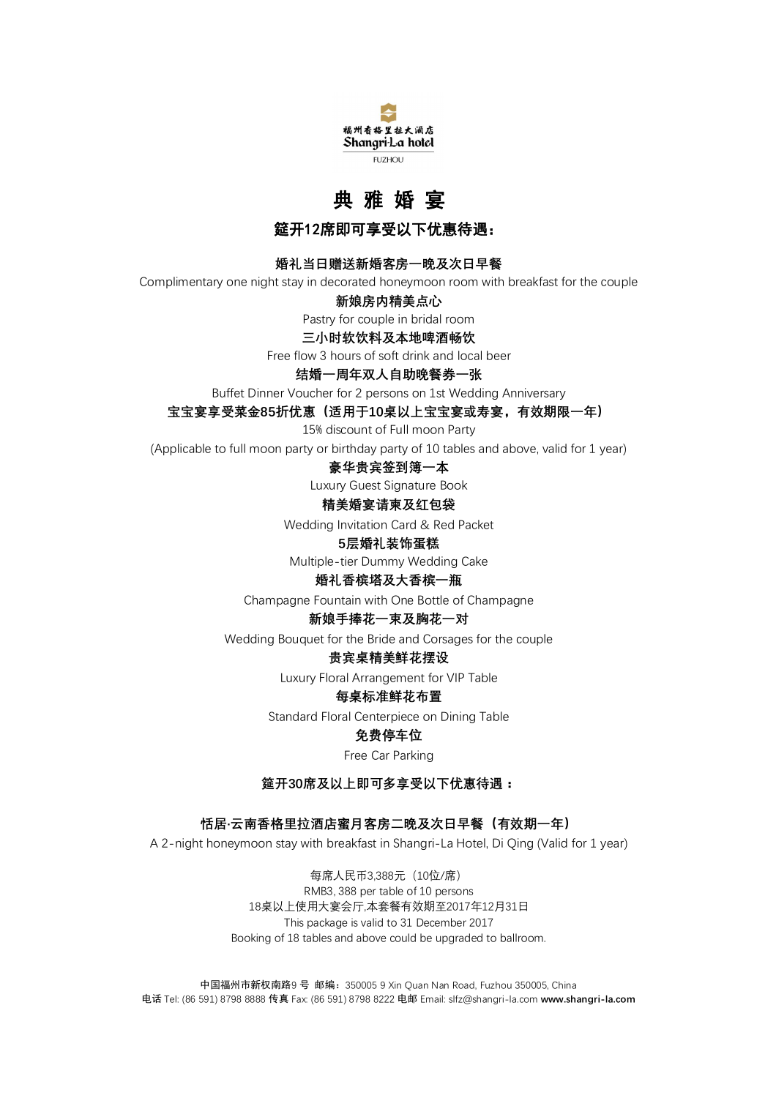

# **典 雅 婚 宴**

**筵开12席即可享受以下优惠待遇:** 

### **婚礼当日赠送新婚客房一晚及次日早餐**

Complimentary one night stay in decorated honeymoon room with breakfast for the couple

### **新娘房内精美点心**

Pastry for couple in bridal room

**三小时软饮料及本地啤酒畅饮**

Free flow 3 hours of soft drink and local beer

### **结婚一周年双人自助晚餐券一张**

Buffet Dinner Voucher for 2 persons on 1st Wedding Anniversary

**宝宝宴享受菜金85折优惠(适用于10桌以上宝宝宴或寿宴,有效期限一年)**

15% discount of Full moon Party

(Applicable to full moon party or birthday party of 10 tables and above, valid for 1 year)

### **豪华贵宾签到簿一本**

Luxury Guest Signature Book

### **精美婚宴请柬及红包袋**

Wedding Invitation Card & Red Packet

#### **5层婚礼装饰蛋糕**

Multiple-tier Dummy Wedding Cake

### **婚礼香槟塔及大香槟一瓶**

Champagne Fountain with One Bottle of Champagne

### **新娘手捧花一束及胸花一对**

Wedding Bouquet for the Bride and Corsages for the couple

### **贵宾桌精美鲜花摆设**

Luxury Floral Arrangement for VIP Table

### **每桌标准鲜花布置**

Standard Floral Centerpiece on Dining Table

### **免费停车位**

Free Car Parking

### **筵开30席及以上即可多享受以下优惠待遇:**

### **恬居·云南香格里拉酒店蜜月客房二晚及次日早餐(有效期一年)**

A 2-night honeymoon stay with breakfast in Shangri-La Hotel, Di Qing (Valid for 1 year)

每席人民币3,388元(10位/席) RMB3, 388 per table of 10 persons 18桌以上使用大宴会厅,本套餐有效期至2017年12月31日 This package is valid to 31 December 2017 Booking of 18 tables and above could be upgraded to ballroom.

中国福州市新权南路9 号 邮编:350005 9 Xin Quan Nan Road, Fuzhou 350005, China 电话 Tel: (86 591) 8798 8888 传真 Fax: (86 591) 8798 8222 电邮 Email: slfz@shangri-la.com **www.shangri-la.com**